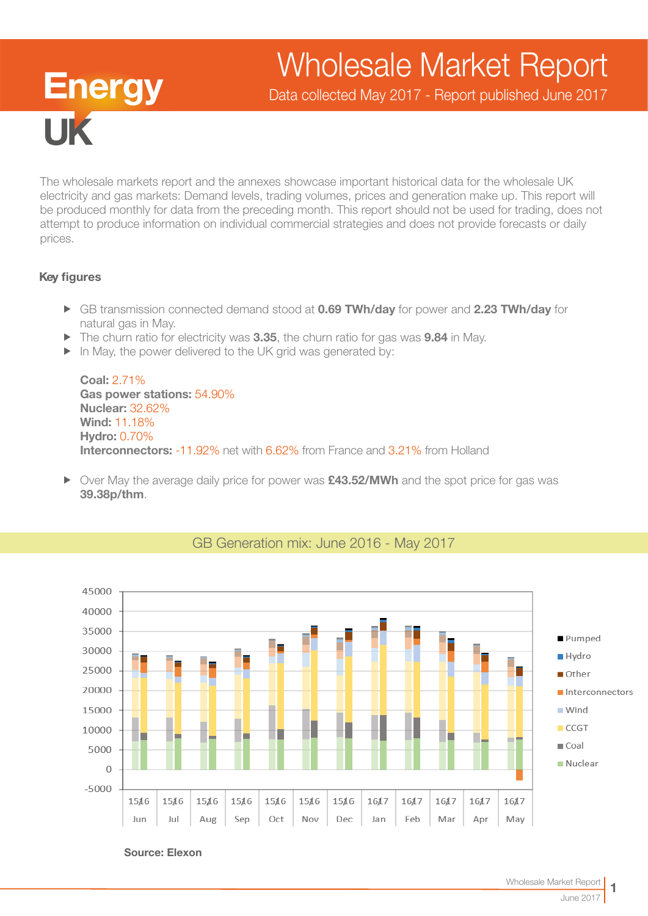# Wholesale Market Report

**Energy IIK** 

Data collected May 2017 - Report published June 2017

The wholesale markets report and the annexes showcase important historical data for the wholesale UK electricity and gas markets: Demand levels, trading volumes, prices and generation make up. This report will be produced monthly for data from the preceding month. This report should not be used for trading, does not attempt to produce information on individual commercial strategies and does not provide forecasts or daily prices.

## Key figures

- ► GB transmission connected demand stood at 0.69 TWh/day for power and 2.23 TWh/day for natural gas in May.
- $\blacktriangleright$  The churn ratio for electricity was 3.35, the churn ratio for gas was 9.84 in May.
- $\blacktriangleright$  In May, the power delivered to the UK grid was generated by:

Coal: 2.71% Gas power stations: 54.90% Nuclear: 32.62% Wind: 11.18% Hydro: 0.70% Interconnectors: -11.92% net with 6.62% from France and 3.21% from Holland

▶ Over May the average daily price for power was £43.52/MWh and the spot price for gas was 39.38p/thm.



## GB Generation mix: June 2016 - May 2017

Source: Elexon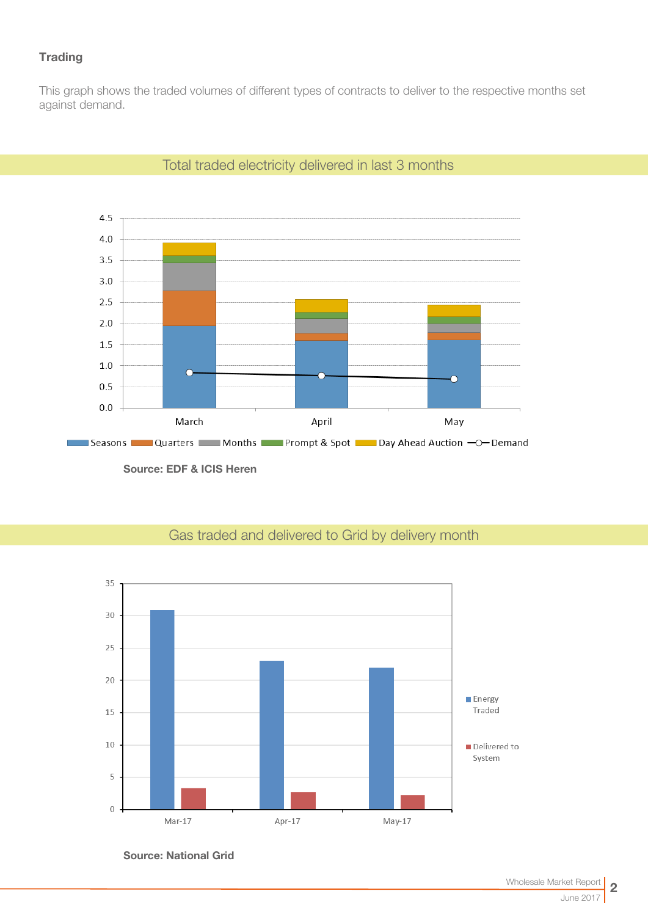## **Trading**

This graph shows the traded volumes of different types of contracts to deliver to the respective months set against demand.



## Total traded electricity delivered in last 3 months

# Gas traded and delivered to Grid by delivery month



Source: National Grid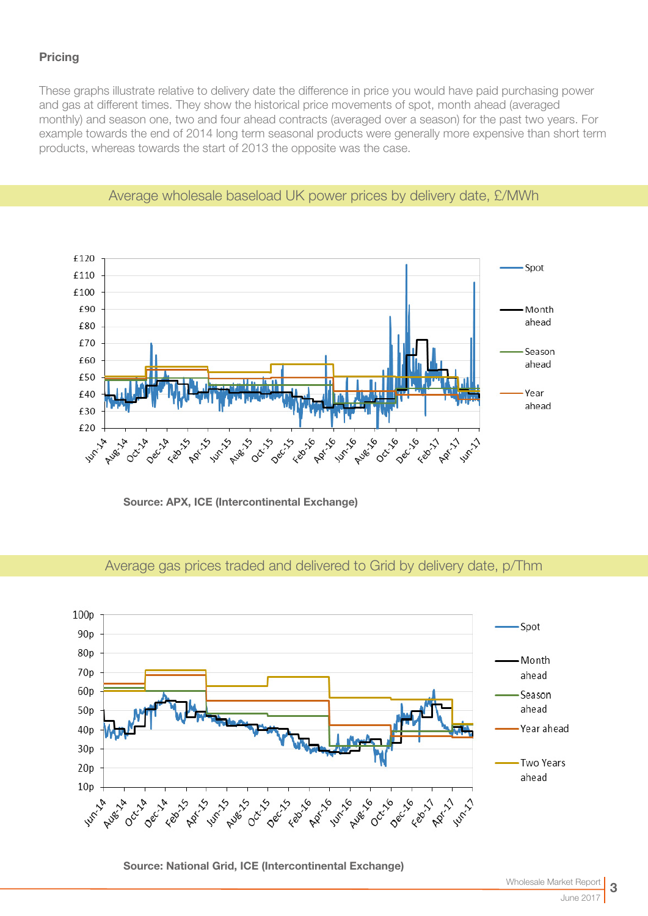## **Pricing**

These graphs illustrate relative to delivery date the difference in price you would have paid purchasing power and gas at different times. They show the historical price movements of spot, month ahead (averaged monthly) and season one, two and four ahead contracts (averaged over a season) for the past two years. For example towards the end of 2014 long term seasonal products were generally more expensive than short term products, whereas towards the start of 2013 the opposite was the case.



## Average wholesale baseload UK power prices by delivery date, £/MWh

Source: APX, ICE (Intercontinental Exchange)

# Average gas prices traded and delivered to Grid by delivery date, p/Thm



Source: National Grid, ICE (Intercontinental Exchange)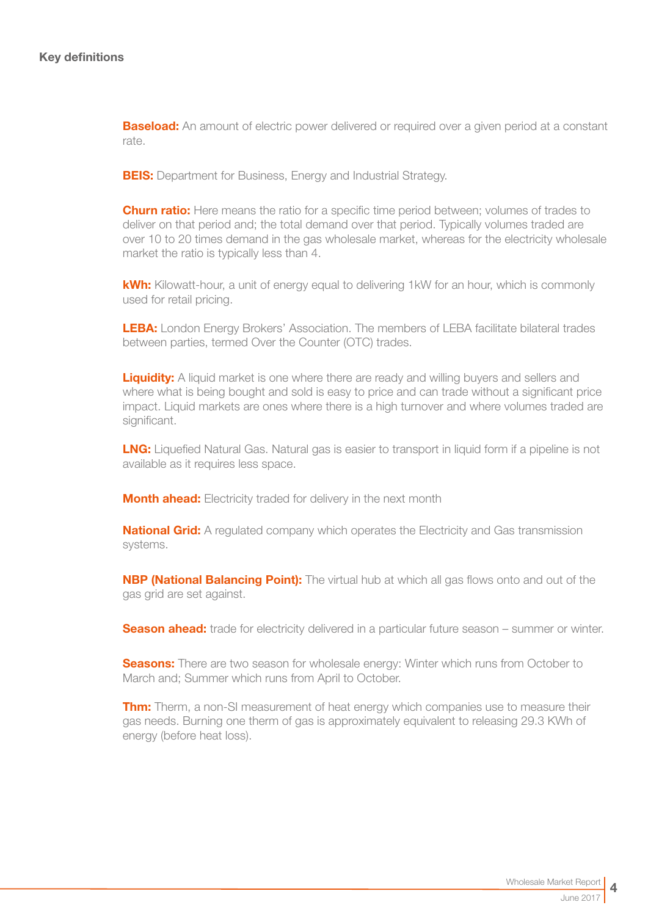**Baseload:** An amount of electric power delivered or required over a given period at a constant rate.

**BEIS:** Department for Business, Energy and Industrial Strategy.

**Churn ratio:** Here means the ratio for a specific time period between; volumes of trades to deliver on that period and; the total demand over that period. Typically volumes traded are over 10 to 20 times demand in the gas wholesale market, whereas for the electricity wholesale market the ratio is typically less than 4.

kWh: Kilowatt-hour, a unit of energy equal to delivering 1kW for an hour, which is commonly used for retail pricing.

LEBA: London Energy Brokers' Association. The members of LEBA facilitate bilateral trades between parties, termed Over the Counter (OTC) trades.

**Liquidity:** A liquid market is one where there are ready and willing buyers and sellers and where what is being bought and sold is easy to price and can trade without a significant price impact. Liquid markets are ones where there is a high turnover and where volumes traded are significant.

**LNG:** Liquefied Natural Gas. Natural gas is easier to transport in liquid form if a pipeline is not available as it requires less space.

**Month ahead:** Electricity traded for delivery in the next month

**National Grid:** A regulated company which operates the Electricity and Gas transmission systems.

**NBP (National Balancing Point):** The virtual hub at which all gas flows onto and out of the gas grid are set against.

**Season ahead:** trade for electricity delivered in a particular future season – summer or winter.

**Seasons:** There are two season for wholesale energy: Winter which runs from October to March and; Summer which runs from April to October.

**Thm:** Therm, a non-SI measurement of heat energy which companies use to measure their gas needs. Burning one therm of gas is approximately equivalent to releasing 29.3 KWh of energy (before heat loss).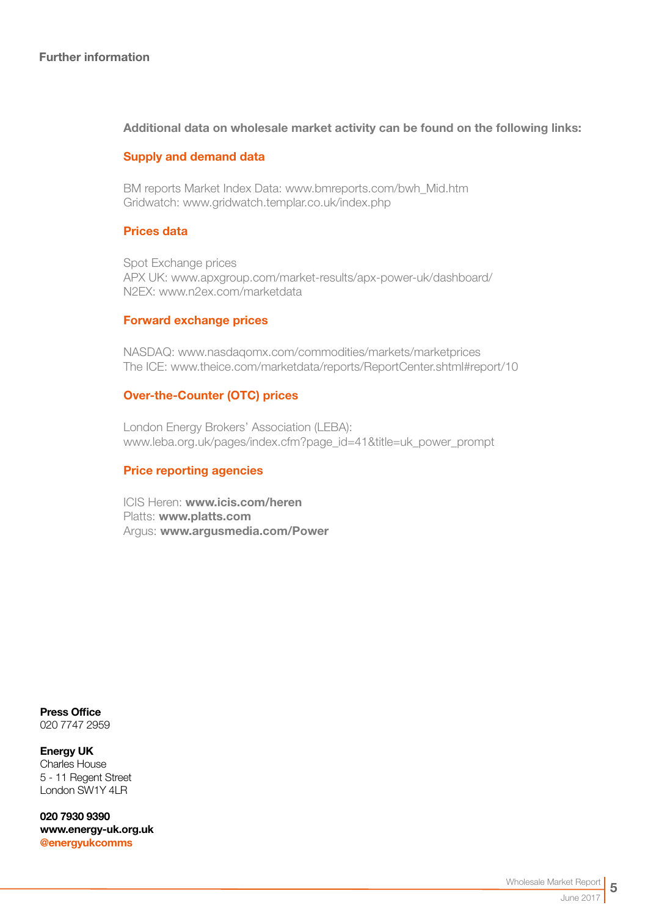## Further information

## Additional data on wholesale market activity can be found on the following links:

## Supply and demand data

BM reports Market Index Data[: www.bmreports.com/bwh\\_Mid.htm](http://www.bmreports.com/bwh_Mid.htm)  Gridwatch[: www.gridwatch.templar.co.uk/index.php](http://www.gridwatch.templar.co.uk/index.php)

## Prices data

Spot Exchange prices APX UK: [www.apxgroup.com/market-results/apx-power-uk/dashboard/](http://www.apxgroup.com/market-results/apx-power-uk/dashboard/ )  N2EX: [www.n2ex.com/marketdata](http://www.nordpoolspot.com/Market-data1/N2EX/) 

#### Forward exchange prices

NASDAQ: [www.nasdaqomx.com/commodities/markets/marketprices](http://www.nasdaqomx.com/commodities/markets/marketprices )  The ICE: [www.theice.com/marketdata/reports/ReportCenter.shtml#report/10](http://www.theice.com/marketdata/reports/ReportCenter.shtml#report/10 )

## Over-the-Counter (OTC) prices

London Energy Brokers' Association (LEBA): [www.leba.org.uk/pages/index.cfm?page\\_id=41&title=uk\\_power\\_prompt](http://www.leba.org.uk/pages/index.cfm?page_id=41&title=uk_power_prompt 
) 

## Price reporting agencies

ICIS Heren: [www.icis.com/heren](http://www.icis.com/heren)  Platts: [www.platts.com](http://www.platts.com/) Argus: [www.argusmedia.com/Power](http://www.argusmedia.com/Power)

Press Office 020 7747 2959

Energy UK Charles House 5 - 11 Regent Street London SW1Y 4LR

020 7930 9390 [www.energy-uk.org.uk](http://www.energy-uk.org.uk) [@energyukcomms](http://twitter.com/EnergyUKcomms)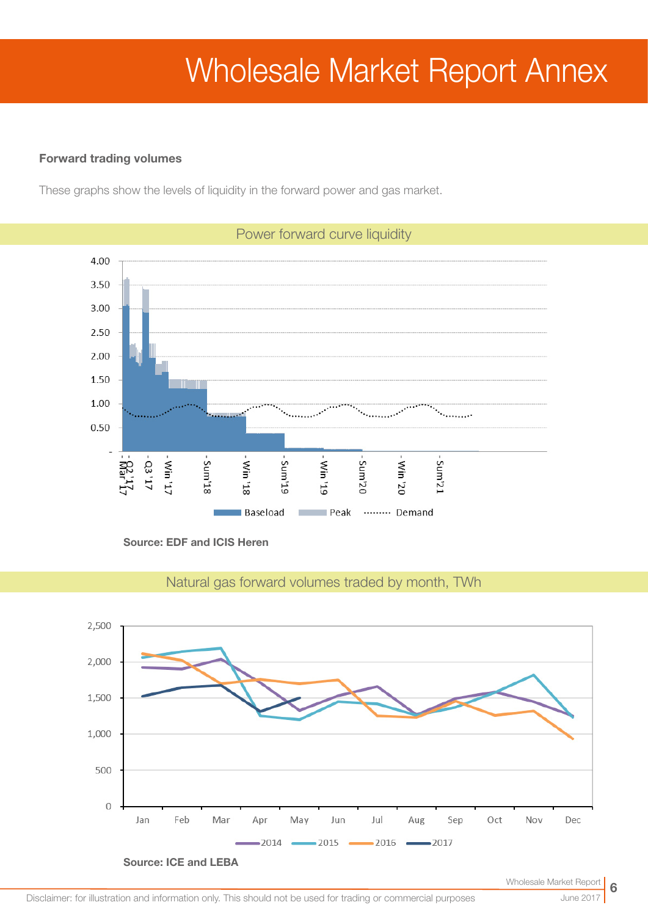# Wholesale Market Report Annex

## Forward trading volumes

These graphs show the levels of liquidity in the forward power and gas market.



Source: EDF and ICIS Heren



Natural gas forward volumes traded by month, TWh

June 2017

6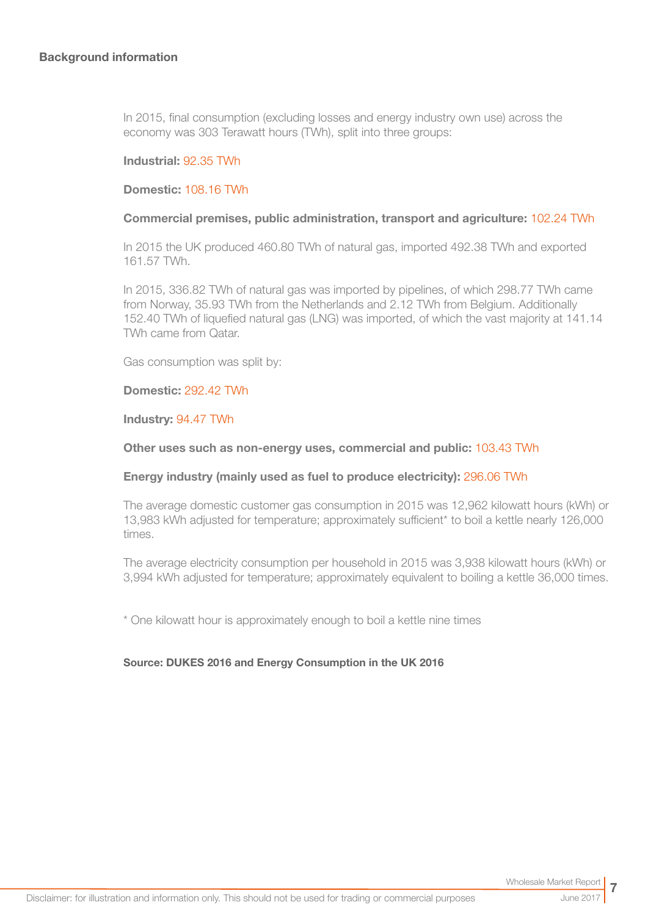In 2015, final consumption (excluding losses and energy industry own use) across the economy was 303 Terawatt hours (TWh), split into three groups:

#### Industrial: 92.35 TWh

#### Domestic: 108.16 TWh

#### Commercial premises, public administration, transport and agriculture: 102.24 TWh

In 2015 the UK produced 460.80 TWh of natural gas, imported 492.38 TWh and exported 161.57 TWh.

In 2015, 336.82 TWh of natural gas was imported by pipelines, of which 298.77 TWh came from Norway, 35.93 TWh from the Netherlands and 2.12 TWh from Belgium. Additionally 152.40 TWh of liquefied natural gas (LNG) was imported, of which the vast majority at 141.14 TWh came from Qatar.

Gas consumption was split by:

#### Domestic: 292.42 TWh

#### Industry: 94.47 TWh

#### Other uses such as non-energy uses, commercial and public: 103.43 TWh

#### Energy industry (mainly used as fuel to produce electricity): 296.06 TWh

The average domestic customer gas consumption in 2015 was 12,962 kilowatt hours (kWh) or 13,983 kWh adjusted for temperature; approximately sufficient\* to boil a kettle nearly 126,000 times.

The average electricity consumption per household in 2015 was 3,938 kilowatt hours (kWh) or 3,994 kWh adjusted for temperature; approximately equivalent to boiling a kettle 36,000 times.

\* One kilowatt hour is approximately enough to boil a kettle nine times

#### Source: DUKES 2016 and Energy Consumption in the UK 2016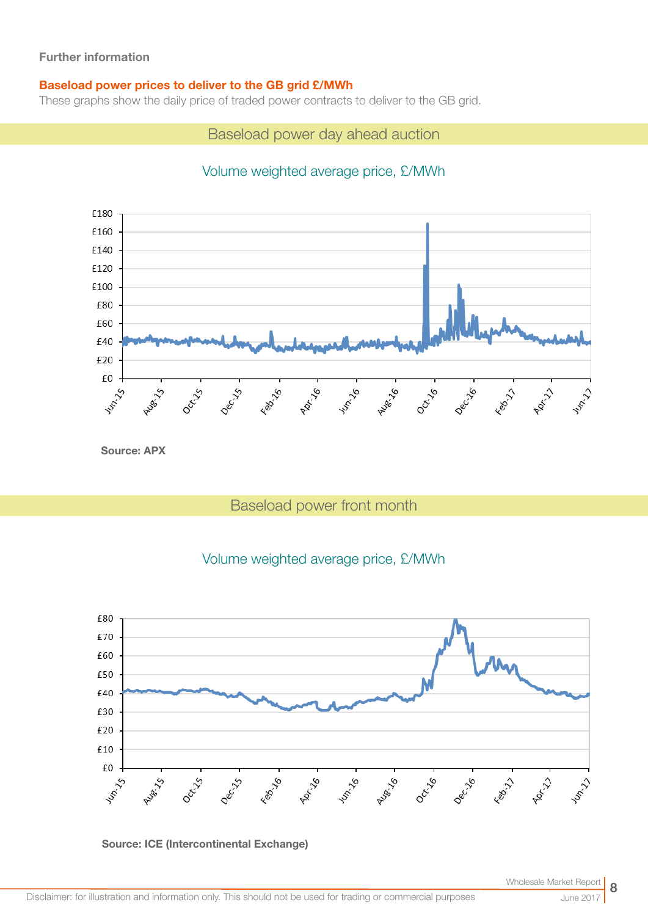## Further information

## Baseload power prices to deliver to the GB grid £/MWh

These graphs show the daily price of traded power contracts to deliver to the GB grid.

Baseload power day ahead auction

# Volume weighted average price, £/MWh



Source: APX

# Baseload power front month

## Volume weighted average price, £/MWh





June 2017

8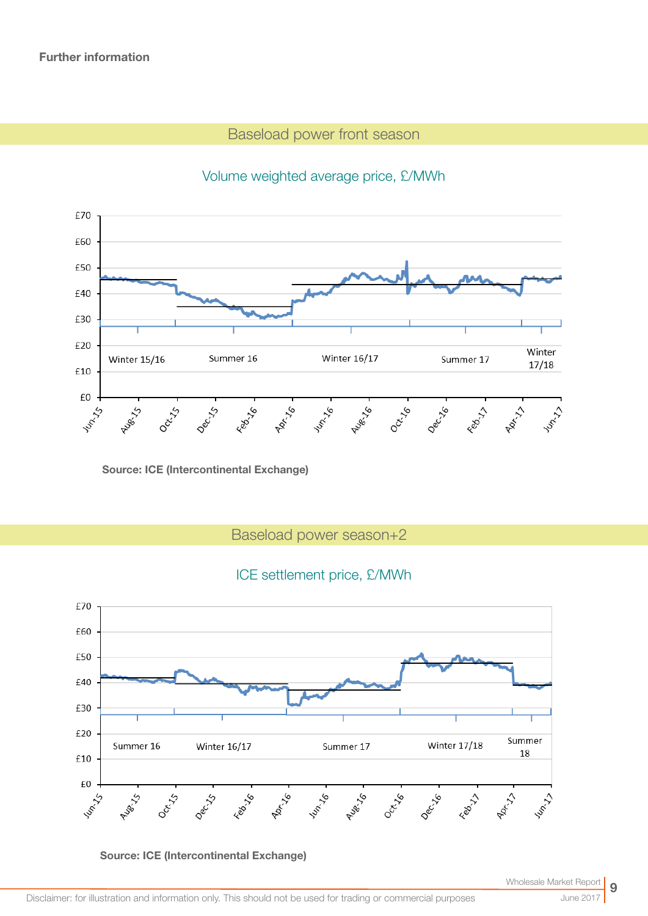# Baseload power front season



# Volume weighted average price, £/MWh

Source: ICE (Intercontinental Exchange)

Baseload power season+2

## ICE settlement price, £/MWh



Source: ICE (Intercontinental Exchange)

Wholesale Market Rep

June 2017

9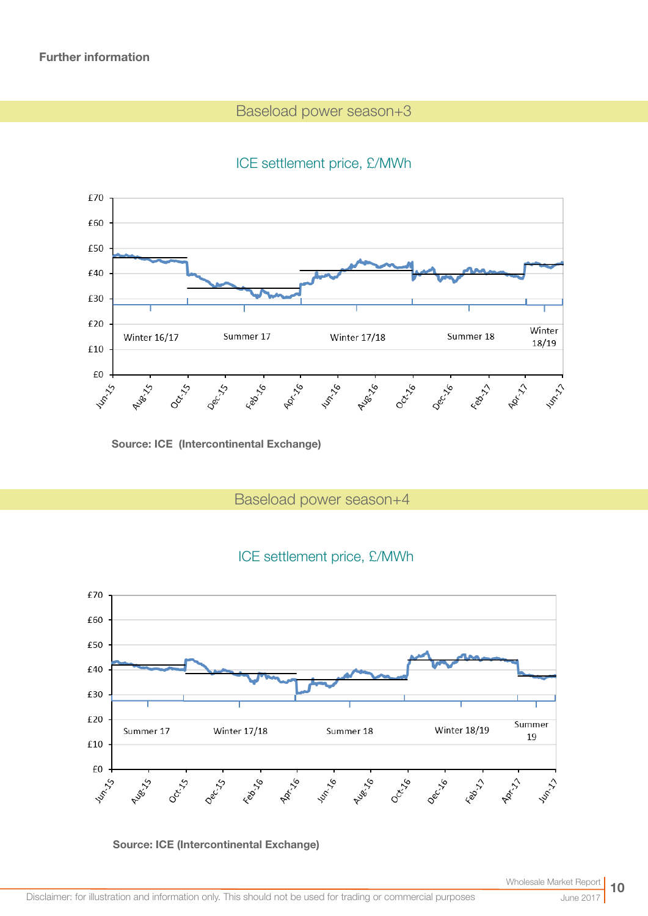# Baseload power season+3

# ICE settlement price, £/MWh



Source: ICE (Intercontinental Exchange)

Baseload power season+4





Source: ICE (Intercontinental Exchange)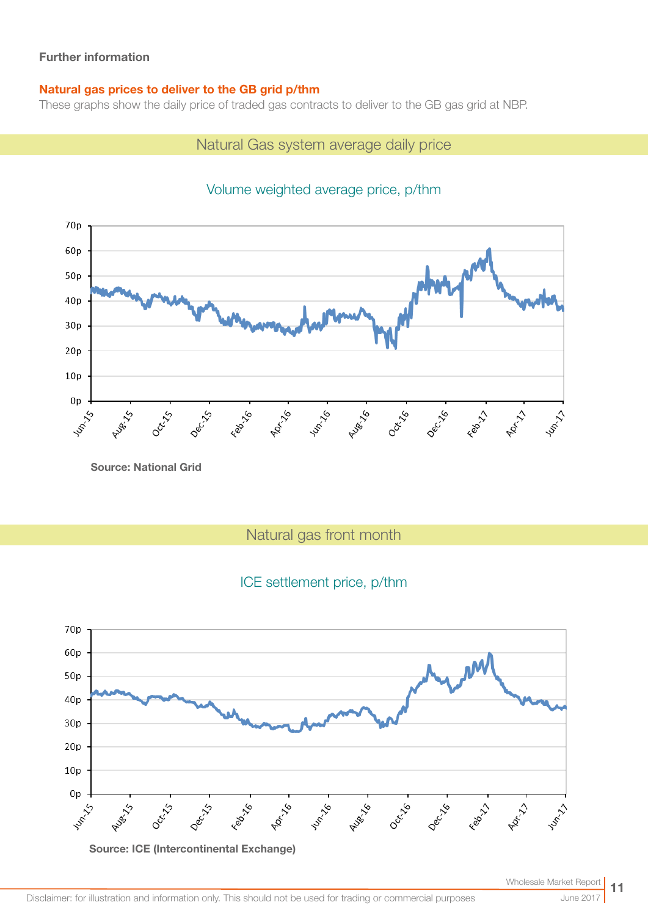## Further information

## Natural gas prices to deliver to the GB grid p/thm

These graphs show the daily price of traded gas contracts to deliver to the GB gas grid at NBP.

## Natural Gas system average daily price



# Volume weighted average price, p/thm

Source: National Grid

Natural gas front month

# ICE settlement price, p/thm

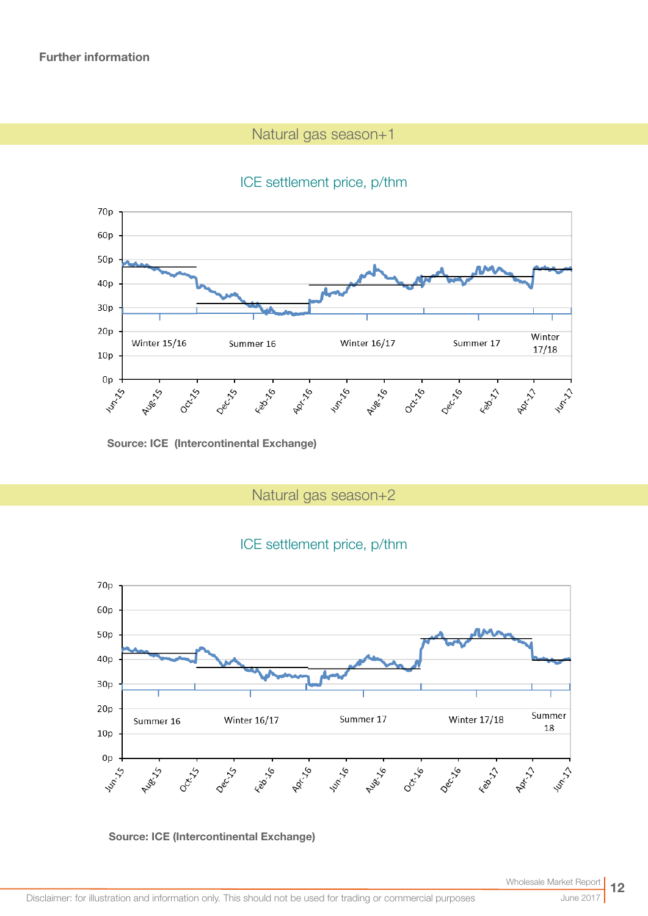# Natural gas season+1

# ICE settlement price, p/thm



Source: ICE (Intercontinental Exchange)

Natural gas season+2

# ICE settlement price, p/thm



#### Source: ICE (Intercontinental Exchange)